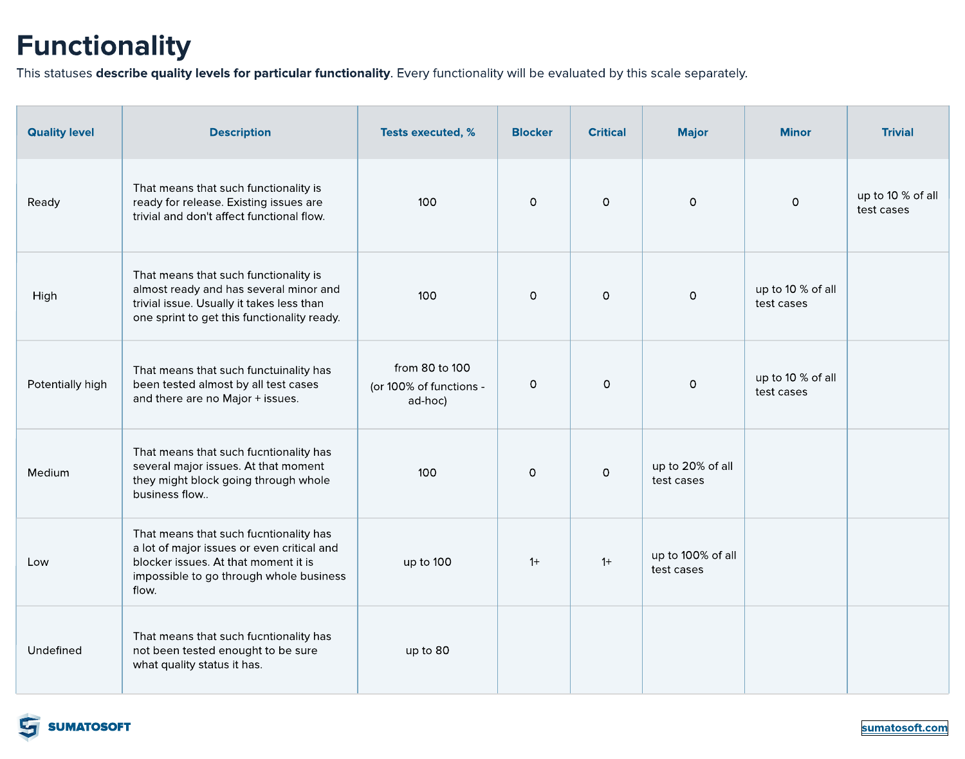| <b>Quality level</b> | <b>Description</b>                                                                                                                                                               | <b>Tests executed, %</b>                             | <b>Blocker</b> | <b>Critical</b> | <b>Major</b>                    | <b>Minor</b>                      | <b>Trivial</b>                     |
|----------------------|----------------------------------------------------------------------------------------------------------------------------------------------------------------------------------|------------------------------------------------------|----------------|-----------------|---------------------------------|-----------------------------------|------------------------------------|
| Ready                | That means that such functionality is<br>ready for release. Existing issues are<br>trivial and don't affect functional flow.                                                     | 100                                                  | $\overline{O}$ | $\overline{O}$  | $\overline{O}$                  | $\overline{O}$                    | up to 10 $\%$ of all<br>test cases |
| High                 | That means that such functionality is<br>almost ready and has several minor and<br>trivial issue. Usually it takes less than<br>one sprint to get this functionality ready.      | 100                                                  | $\overline{O}$ | $\overline{O}$  | $\overline{O}$                  | up to 10 $%$ of all<br>test cases |                                    |
| Potentially high     | That means that such functuinality has<br>been tested almost by all test cases<br>and there are no Major + issues.                                                               | from 80 to 100<br>(or 100% of functions -<br>ad-hoc) | $\overline{O}$ | $\overline{O}$  | $\overline{O}$                  | up to 10 $%$ of all<br>test cases |                                    |
| <b>Medium</b>        | That means that such fucntionality has<br>several major issues. At that moment<br>they might block going through whole<br>business flow                                          | 100                                                  | $\overline{O}$ | $\overline{O}$  | up to 20% of all<br>test cases  |                                   |                                    |
| Low                  | That means that such fucntionality has<br>a lot of major issues or even critical and<br>blocker issues. At that moment it is<br>impossible to go through whole business<br>flow. | up to $100$                                          | $1+$           | $1+$            | up to 100% of all<br>test cases |                                   |                                    |
| Undefined            | That means that such fucntionality has<br>not been tested enought to be sure<br>what quality status it has.                                                                      | up to 80                                             |                |                 |                                 |                                   |                                    |



# Functionality

This statuses describe quality levels for particular functionality. Every functionality will be evaluated by this scale separately.

[sumatosoft.com](https://sumatosoft.com/)